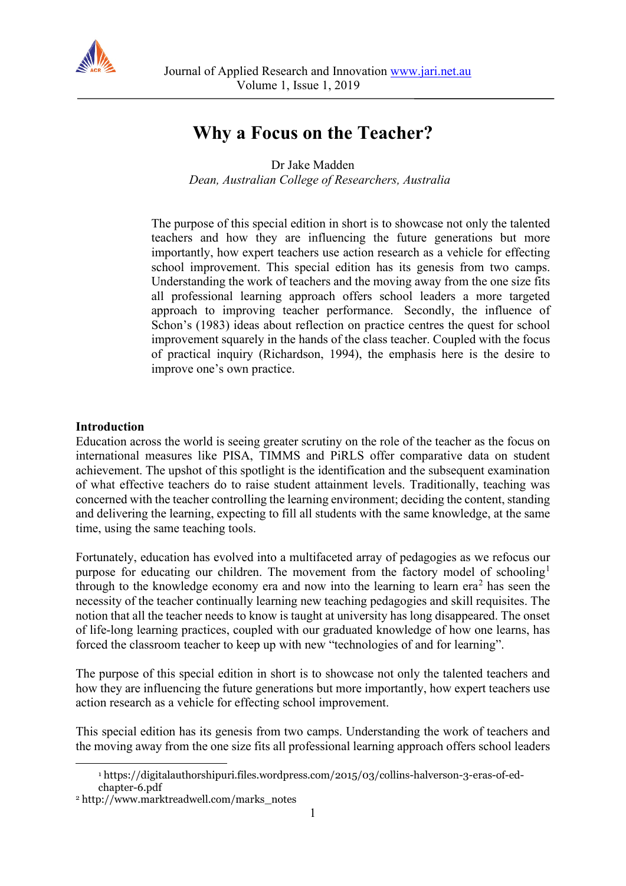

# **Why a Focus on the Teacher?**

Dr Jake Madden

*Dean, Australian College of Researchers, Australia*

The purpose of this special edition in short is to showcase not only the talented teachers and how they are influencing the future generations but more importantly, how expert teachers use action research as a vehicle for effecting school improvement. This special edition has its genesis from two camps. Understanding the work of teachers and the moving away from the one size fits all professional learning approach offers school leaders a more targeted approach to improving teacher performance. Secondly, the influence of Schon's (1983) ideas about reflection on practice centres the quest for school improvement squarely in the hands of the class teacher. Coupled with the focus of practical inquiry (Richardson, 1994), the emphasis here is the desire to improve one's own practice.

# **Introduction**

Education across the world is seeing greater scrutiny on the role of the teacher as the focus on international measures like PISA, TIMMS and PiRLS offer comparative data on student achievement. The upshot of this spotlight is the identification and the subsequent examination of what effective teachers do to raise student attainment levels. Traditionally, teaching was concerned with the teacher controlling the learning environment; deciding the content, standing and delivering the learning, expecting to fill all students with the same knowledge, at the same time, using the same teaching tools.

Fortunately, education has evolved into a multifaceted array of pedagogies as we refocus our purpose for educating our children. The movement from the factory model of schooling<sup>[1](#page-0-0)</sup> through to the knowledge economy era and now into the learning to learn  $era<sup>2</sup>$  $era<sup>2</sup>$  $era<sup>2</sup>$  has seen the necessity of the teacher continually learning new teaching pedagogies and skill requisites. The notion that all the teacher needs to know is taught at university has long disappeared. The onset of life-long learning practices, coupled with our graduated knowledge of how one learns, has forced the classroom teacher to keep up with new "technologies of and for learning".

The purpose of this special edition in short is to showcase not only the talented teachers and how they are influencing the future generations but more importantly, how expert teachers use action research as a vehicle for effecting school improvement.

This special edition has its genesis from two camps. Understanding the work of teachers and the moving away from the one size fits all professional learning approach offers school leaders

<sup>1</sup> https://digitalauthorshipuri.files.wordpress.com/2015/03/collins-halverson-3-eras-of-edchapter-6.pdf

<span id="page-0-1"></span><span id="page-0-0"></span><sup>2</sup> http://www.marktreadwell.com/marks\_notes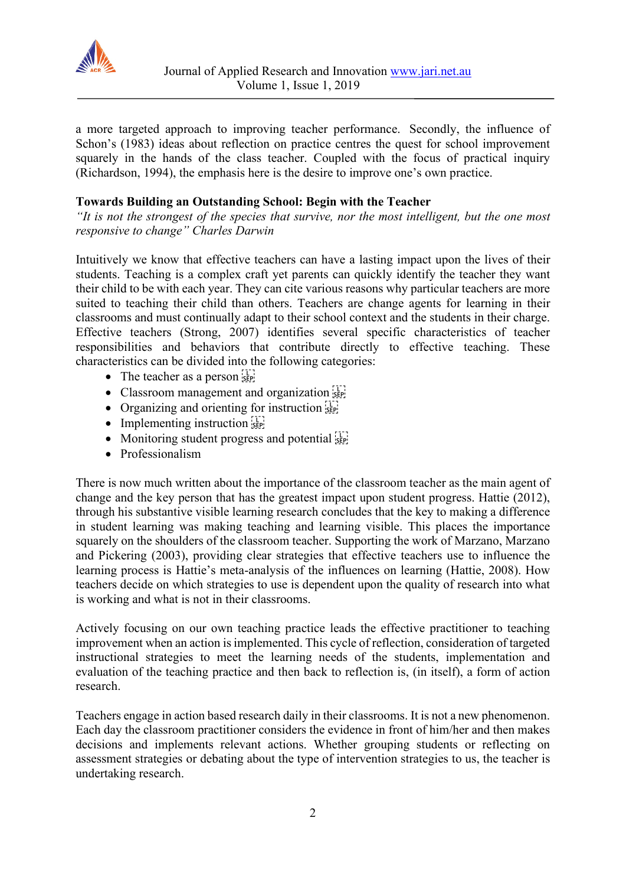

a more targeted approach to improving teacher performance. Secondly, the influence of Schon's (1983) ideas about reflection on practice centres the quest for school improvement squarely in the hands of the class teacher. Coupled with the focus of practical inquiry (Richardson, 1994), the emphasis here is the desire to improve one's own practice.

# **Towards Building an Outstanding School: Begin with the Teacher**

*"It is not the strongest of the species that survive, nor the most intelligent, but the one most responsive to change" Charles Darwin*

Intuitively we know that effective teachers can have a lasting impact upon the lives of their students. Teaching is a complex craft yet parents can quickly identify the teacher they want their child to be with each year. They can cite various reasons why particular teachers are more suited to teaching their child than others. Teachers are change agents for learning in their classrooms and must continually adapt to their school context and the students in their charge. Effective teachers (Strong, 2007) identifies several specific characteristics of teacher responsibilities and behaviors that contribute directly to effective teaching. These characteristics can be divided into the following categories:

- The teacher as a person  $s_{\text{sep}}$
- Classroom management and organization  $\overline{\mathbb{R}}_{\text{S}^p}$
- Organizing and orienting for instruction  $\frac{1}{25}$
- Implementing instruction  $\frac{1}{100}$
- Monitoring student progress and potential step
- Professionalism

There is now much written about the importance of the classroom teacher as the main agent of change and the key person that has the greatest impact upon student progress. Hattie (2012), through his substantive visible learning research concludes that the key to making a difference in student learning was making teaching and learning visible. This places the importance squarely on the shoulders of the classroom teacher. Supporting the work of Marzano, Marzano and Pickering (2003), providing clear strategies that effective teachers use to influence the learning process is Hattie's meta-analysis of the influences on learning (Hattie, 2008). How teachers decide on which strategies to use is dependent upon the quality of research into what is working and what is not in their classrooms.

Actively focusing on our own teaching practice leads the effective practitioner to teaching improvement when an action is implemented. This cycle of reflection, consideration of targeted instructional strategies to meet the learning needs of the students, implementation and evaluation of the teaching practice and then back to reflection is, (in itself), a form of action research.

Teachers engage in action based research daily in their classrooms. It is not a new phenomenon. Each day the classroom practitioner considers the evidence in front of him/her and then makes decisions and implements relevant actions. Whether grouping students or reflecting on assessment strategies or debating about the type of intervention strategies to us, the teacher is undertaking research.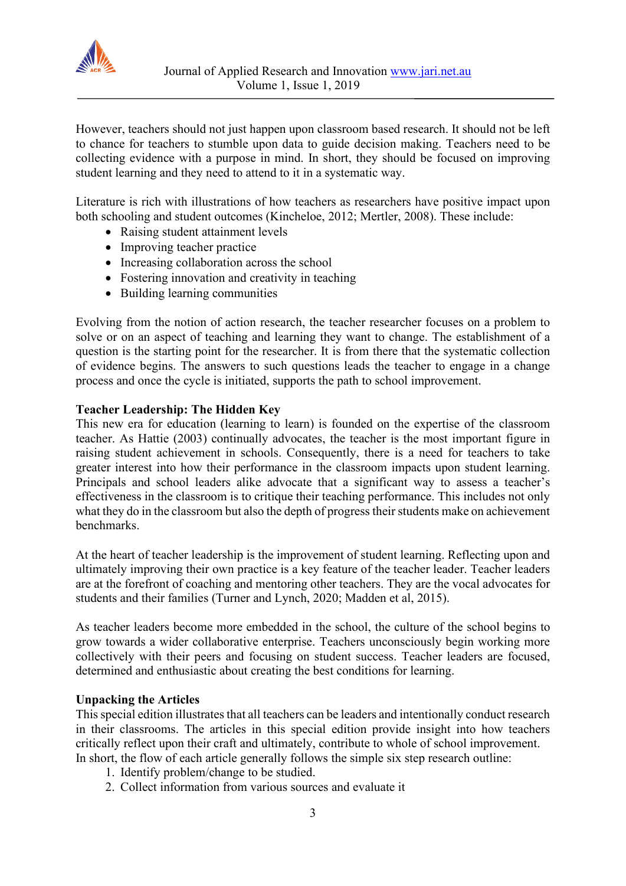

However, teachers should not just happen upon classroom based research. It should not be left to chance for teachers to stumble upon data to guide decision making. Teachers need to be collecting evidence with a purpose in mind. In short, they should be focused on improving student learning and they need to attend to it in a systematic way.

Literature is rich with illustrations of how teachers as researchers have positive impact upon both schooling and student outcomes (Kincheloe, 2012; Mertler, 2008). These include:

- Raising student attainment levels
- Improving teacher practice
- Increasing collaboration across the school
- Fostering innovation and creativity in teaching
- Building learning communities

Evolving from the notion of action research, the teacher researcher focuses on a problem to solve or on an aspect of teaching and learning they want to change. The establishment of a question is the starting point for the researcher. It is from there that the systematic collection of evidence begins. The answers to such questions leads the teacher to engage in a change process and once the cycle is initiated, supports the path to school improvement.

### **Teacher Leadership: The Hidden Key**

This new era for education (learning to learn) is founded on the expertise of the classroom teacher. As Hattie (2003) continually advocates, the teacher is the most important figure in raising student achievement in schools. Consequently, there is a need for teachers to take greater interest into how their performance in the classroom impacts upon student learning. Principals and school leaders alike advocate that a significant way to assess a teacher's effectiveness in the classroom is to critique their teaching performance. This includes not only what they do in the classroom but also the depth of progress their students make on achievement benchmarks.

At the heart of teacher leadership is the improvement of student learning. Reflecting upon and ultimately improving their own practice is a key feature of the teacher leader. Teacher leaders are at the forefront of coaching and mentoring other teachers. They are the vocal advocates for students and their families (Turner and Lynch, 2020; Madden et al, 2015).

As teacher leaders become more embedded in the school, the culture of the school begins to grow towards a wider collaborative enterprise. Teachers unconsciously begin working more collectively with their peers and focusing on student success. Teacher leaders are focused, determined and enthusiastic about creating the best conditions for learning.

### **Unpacking the Articles**

This special edition illustrates that all teachers can be leaders and intentionally conduct research in their classrooms. The articles in this special edition provide insight into how teachers critically reflect upon their craft and ultimately, contribute to whole of school improvement. In short, the flow of each article generally follows the simple six step research outline:

- 1. Identify problem/change to be studied.
- 2. Collect information from various sources and evaluate it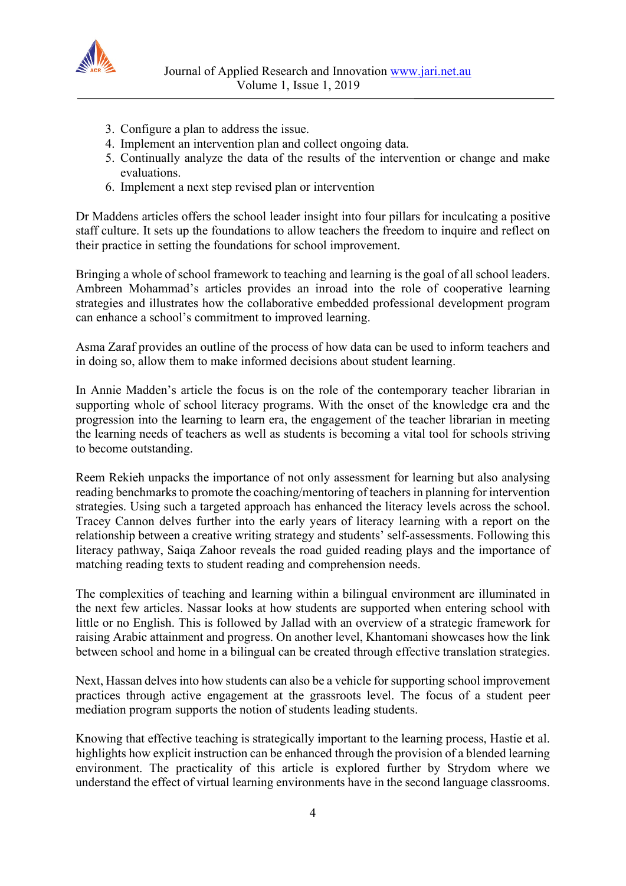

- 3. Configure a plan to address the issue.
- 4. Implement an intervention plan and collect ongoing data.
- 5. Continually analyze the data of the results of the intervention or change and make evaluations.
- 6. Implement a next step revised plan or intervention

Dr Maddens articles offers the school leader insight into four pillars for inculcating a positive staff culture. It sets up the foundations to allow teachers the freedom to inquire and reflect on their practice in setting the foundations for school improvement.

Bringing a whole of school framework to teaching and learning is the goal of all school leaders. Ambreen Mohammad's articles provides an inroad into the role of cooperative learning strategies and illustrates how the collaborative embedded professional development program can enhance a school's commitment to improved learning.

Asma Zaraf provides an outline of the process of how data can be used to inform teachers and in doing so, allow them to make informed decisions about student learning.

In Annie Madden's article the focus is on the role of the contemporary teacher librarian in supporting whole of school literacy programs. With the onset of the knowledge era and the progression into the learning to learn era, the engagement of the teacher librarian in meeting the learning needs of teachers as well as students is becoming a vital tool for schools striving to become outstanding.

Reem Rekieh unpacks the importance of not only assessment for learning but also analysing reading benchmarks to promote the coaching/mentoring of teachers in planning for intervention strategies. Using such a targeted approach has enhanced the literacy levels across the school. Tracey Cannon delves further into the early years of literacy learning with a report on the relationship between a creative writing strategy and students' self-assessments. Following this literacy pathway, Saiqa Zahoor reveals the road guided reading plays and the importance of matching reading texts to student reading and comprehension needs.

The complexities of teaching and learning within a bilingual environment are illuminated in the next few articles. Nassar looks at how students are supported when entering school with little or no English. This is followed by Jallad with an overview of a strategic framework for raising Arabic attainment and progress. On another level, Khantomani showcases how the link between school and home in a bilingual can be created through effective translation strategies.

Next, Hassan delves into how students can also be a vehicle for supporting school improvement practices through active engagement at the grassroots level. The focus of a student peer mediation program supports the notion of students leading students.

Knowing that effective teaching is strategically important to the learning process, Hastie et al. highlights how explicit instruction can be enhanced through the provision of a blended learning environment. The practicality of this article is explored further by Strydom where we understand the effect of virtual learning environments have in the second language classrooms.